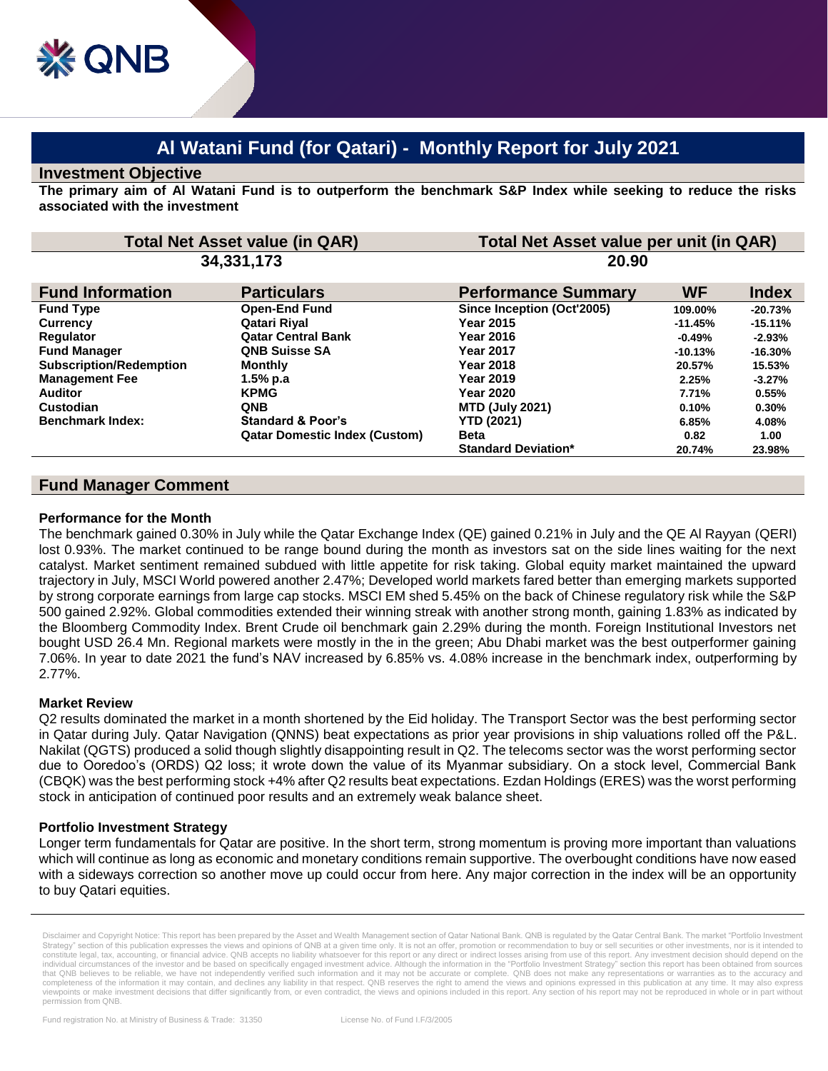# **Al Watani Fund (for Qatari) - Monthly Report for July 2021**

#### **Investment Objective**

**The primary aim of Al Watani Fund is to outperform the benchmark S&P Index while seeking to reduce the risks associated with the investment**

| <b>Total Net Asset value (in QAR)</b> |                            | Total Net Asset value per unit (in QAR) |              |  |
|---------------------------------------|----------------------------|-----------------------------------------|--------------|--|
| 34,331,173                            |                            | 20.90                                   |              |  |
| <b>Particulars</b>                    | <b>Performance Summary</b> | <b>WF</b>                               | <b>Index</b> |  |
| <b>Open-End Fund</b>                  | Since Inception (Oct'2005) | 109.00%                                 | $-20.73%$    |  |
| Qatari Riyal                          | <b>Year 2015</b>           | $-11.45%$                               | $-15.11%$    |  |
| <b>Qatar Central Bank</b>             | <b>Year 2016</b>           | $-0.49%$                                | $-2.93%$     |  |
| <b>QNB Suisse SA</b>                  | <b>Year 2017</b>           | $-10.13%$                               | $-16.30%$    |  |
| <b>Monthly</b>                        | <b>Year 2018</b>           | 20.57%                                  | 15.53%       |  |
| $1.5%$ p.a                            | <b>Year 2019</b>           | 2.25%                                   | $-3.27%$     |  |
| <b>KPMG</b>                           | <b>Year 2020</b>           | 7.71%                                   | 0.55%        |  |
| <b>QNB</b>                            | <b>MTD (July 2021)</b>     | 0.10%                                   | 0.30%        |  |
| <b>Standard &amp; Poor's</b>          | <b>YTD (2021)</b>          | 6.85%                                   | 4.08%        |  |
| <b>Qatar Domestic Index (Custom)</b>  | <b>Beta</b>                | 0.82                                    | 1.00         |  |
|                                       | <b>Standard Deviation*</b> | 20.74%                                  | 23.98%       |  |
|                                       |                            |                                         |              |  |

## **Fund Manager Comment**

#### **Performance for the Month**

The benchmark gained 0.30% in July while the Qatar Exchange Index (QE) gained 0.21% in July and the QE Al Rayyan (QERI) lost 0.93%. The market continued to be range bound during the month as investors sat on the side lines waiting for the next catalyst. Market sentiment remained subdued with little appetite for risk taking. Global equity market maintained the upward trajectory in July, MSCI World powered another 2.47%; Developed world markets fared better than emerging markets supported by strong corporate earnings from large cap stocks. MSCI EM shed 5.45% on the back of Chinese regulatory risk while the S&P 500 gained 2.92%. Global commodities extended their winning streak with another strong month, gaining 1.83% as indicated by the Bloomberg Commodity Index. Brent Crude oil benchmark gain 2.29% during the month. Foreign Institutional Investors net bought USD 26.4 Mn. Regional markets were mostly in the in the green; Abu Dhabi market was the best outperformer gaining 7.06%. In year to date 2021 the fund's NAV increased by 6.85% vs. 4.08% increase in the benchmark index, outperforming by 2.77%.

## **Market Review**

Q2 results dominated the market in a month shortened by the Eid holiday. The Transport Sector was the best performing sector in Qatar during July. Qatar Navigation (QNNS) beat expectations as prior year provisions in ship valuations rolled off the P&L. Nakilat (QGTS) produced a solid though slightly disappointing result in Q2. The telecoms sector was the worst performing sector due to Ooredoo's (ORDS) Q2 loss; it wrote down the value of its Myanmar subsidiary. On a stock level, Commercial Bank (CBQK) was the best performing stock +4% after Q2 results beat expectations. Ezdan Holdings (ERES) was the worst performing stock in anticipation of continued poor results and an extremely weak balance sheet.

## **Portfolio Investment Strategy**

Longer term fundamentals for Qatar are positive. In the short term, strong momentum is proving more important than valuations which will continue as long as economic and monetary conditions remain supportive. The overbought conditions have now eased with a sideways correction so another move up could occur from here. Any major correction in the index will be an opportunity to buy Qatari equities.

Disclaimer and Copyright Notice: This report has been prepared by the Asset and Wealth Management section of Qatar National Bank. QNB is regulated by the Qatar Central Bank. The market "Portfolio Investment Strategy" section of this publication expresses the views and opinions of QNB at a given time only. It is not an offer, promotion or recommendation to buy or sell securities or other investments, nor is it intended to<br>cons individual circumstances of the investor and be based on specifically engaged investment advice. Although the information in the "Portfolio Investment Strategy" section this report has been obtained from sources that QNB believes to be reliable, we have not independently verified such information and it may not be accurate or complete. QNB does not make any representations or warranties as to the accuracy and completeness of the information it may contain, and declines any liability in that respect. QNB reserves the right to amend the views and opinions expressed in this publication at any time. It may also express viewpoints or make investment decisions that differ significantly from, or even contradict, the views and opinions included in this report. Any section of his report may not be reproduced in whole or in part without permission from QNB.